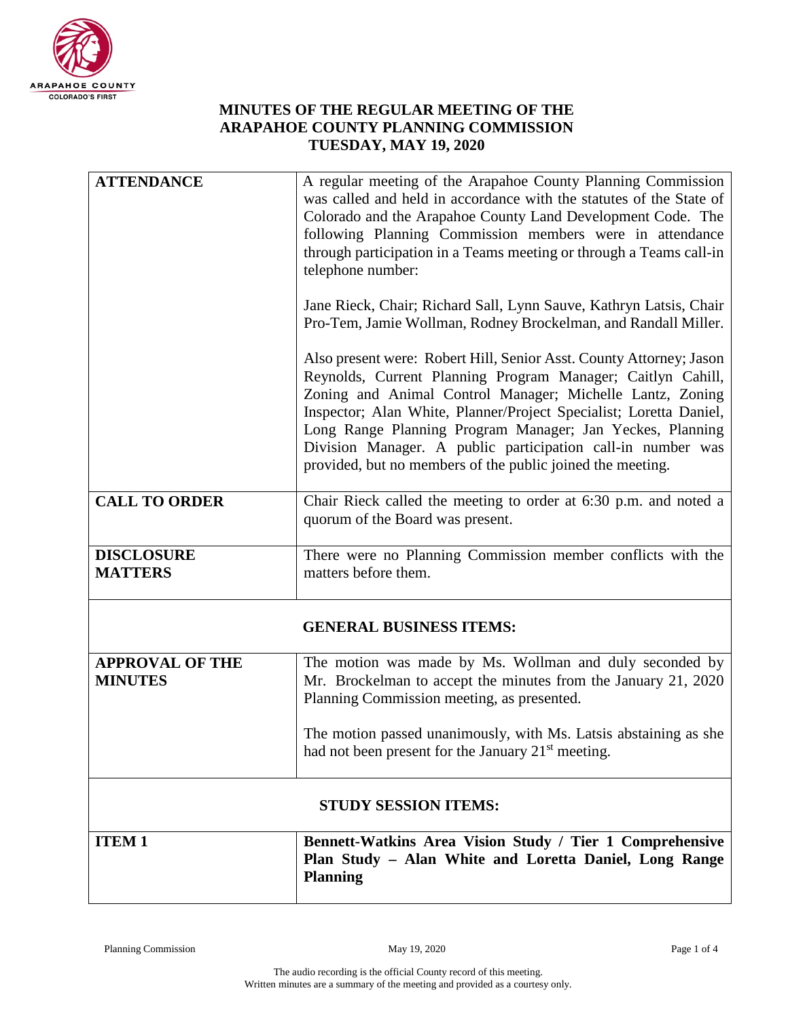

## **MINUTES OF THE REGULAR MEETING OF THE ARAPAHOE COUNTY PLANNING COMMISSION TUESDAY, MAY 19, 2020**

| <b>ATTENDANCE</b>                        | A regular meeting of the Arapahoe County Planning Commission<br>was called and held in accordance with the statutes of the State of                                                                                                                                                                                                                                                                                                                             |  |
|------------------------------------------|-----------------------------------------------------------------------------------------------------------------------------------------------------------------------------------------------------------------------------------------------------------------------------------------------------------------------------------------------------------------------------------------------------------------------------------------------------------------|--|
|                                          | Colorado and the Arapahoe County Land Development Code. The<br>following Planning Commission members were in attendance<br>through participation in a Teams meeting or through a Teams call-in<br>telephone number:                                                                                                                                                                                                                                             |  |
|                                          | Jane Rieck, Chair; Richard Sall, Lynn Sauve, Kathryn Latsis, Chair<br>Pro-Tem, Jamie Wollman, Rodney Brockelman, and Randall Miller.                                                                                                                                                                                                                                                                                                                            |  |
|                                          | Also present were: Robert Hill, Senior Asst. County Attorney; Jason<br>Reynolds, Current Planning Program Manager; Caitlyn Cahill,<br>Zoning and Animal Control Manager; Michelle Lantz, Zoning<br>Inspector; Alan White, Planner/Project Specialist; Loretta Daniel,<br>Long Range Planning Program Manager; Jan Yeckes, Planning<br>Division Manager. A public participation call-in number was<br>provided, but no members of the public joined the meeting. |  |
| <b>CALL TO ORDER</b>                     | Chair Rieck called the meeting to order at 6:30 p.m. and noted a<br>quorum of the Board was present.                                                                                                                                                                                                                                                                                                                                                            |  |
| <b>DISCLOSURE</b><br><b>MATTERS</b>      | There were no Planning Commission member conflicts with the<br>matters before them.                                                                                                                                                                                                                                                                                                                                                                             |  |
| <b>GENERAL BUSINESS ITEMS:</b>           |                                                                                                                                                                                                                                                                                                                                                                                                                                                                 |  |
| <b>APPROVAL OF THE</b><br><b>MINUTES</b> | The motion was made by Ms. Wollman and duly seconded by<br>Mr. Brockelman to accept the minutes from the January 21, 2020<br>Planning Commission meeting, as presented.                                                                                                                                                                                                                                                                                         |  |
|                                          | The motion passed unanimously, with Ms. Latsis abstaining as she<br>had not been present for the January 21 <sup>st</sup> meeting.                                                                                                                                                                                                                                                                                                                              |  |
| <b>STUDY SESSION ITEMS:</b>              |                                                                                                                                                                                                                                                                                                                                                                                                                                                                 |  |
| <b>ITEM1</b>                             | Bennett-Watkins Area Vision Study / Tier 1 Comprehensive<br>Plan Study - Alan White and Loretta Daniel, Long Range<br><b>Planning</b>                                                                                                                                                                                                                                                                                                                           |  |

ı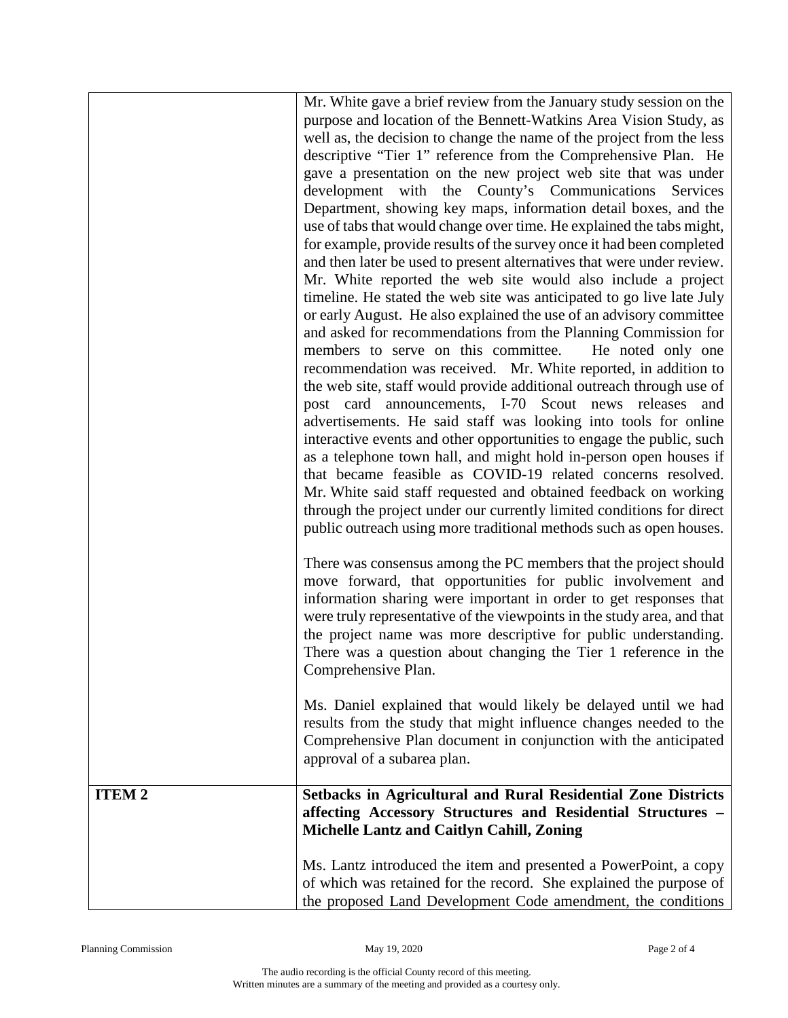|              | Mr. White gave a brief review from the January study session on the<br>purpose and location of the Bennett-Watkins Area Vision Study, as<br>well as, the decision to change the name of the project from the less<br>descriptive "Tier 1" reference from the Comprehensive Plan. He<br>gave a presentation on the new project web site that was under<br>development with the County's Communications<br>Services<br>Department, showing key maps, information detail boxes, and the<br>use of tabs that would change over time. He explained the tabs might,<br>for example, provide results of the survey once it had been completed<br>and then later be used to present alternatives that were under review.<br>Mr. White reported the web site would also include a project<br>timeline. He stated the web site was anticipated to go live late July<br>or early August. He also explained the use of an advisory committee<br>and asked for recommendations from the Planning Commission for<br>members to serve on this committee.<br>He noted only one<br>recommendation was received. Mr. White reported, in addition to<br>the web site, staff would provide additional outreach through use of<br>post card announcements, I-70 Scout news releases<br>and<br>advertisements. He said staff was looking into tools for online<br>interactive events and other opportunities to engage the public, such<br>as a telephone town hall, and might hold in-person open houses if<br>that became feasible as COVID-19 related concerns resolved.<br>Mr. White said staff requested and obtained feedback on working<br>through the project under our currently limited conditions for direct<br>public outreach using more traditional methods such as open houses.<br>There was consensus among the PC members that the project should<br>move forward, that opportunities for public involvement and<br>information sharing were important in order to get responses that<br>were truly representative of the viewpoints in the study area, and that<br>the project name was more descriptive for public understanding.<br>There was a question about changing the Tier 1 reference in the<br>Comprehensive Plan. |
|--------------|--------------------------------------------------------------------------------------------------------------------------------------------------------------------------------------------------------------------------------------------------------------------------------------------------------------------------------------------------------------------------------------------------------------------------------------------------------------------------------------------------------------------------------------------------------------------------------------------------------------------------------------------------------------------------------------------------------------------------------------------------------------------------------------------------------------------------------------------------------------------------------------------------------------------------------------------------------------------------------------------------------------------------------------------------------------------------------------------------------------------------------------------------------------------------------------------------------------------------------------------------------------------------------------------------------------------------------------------------------------------------------------------------------------------------------------------------------------------------------------------------------------------------------------------------------------------------------------------------------------------------------------------------------------------------------------------------------------------------------------------------------------------------------------------------------------------------------------------------------------------------------------------------------------------------------------------------------------------------------------------------------------------------------------------------------------------------------------------------------------------------------------------------------------------------------------------------------------------------|
|              | Ms. Daniel explained that would likely be delayed until we had<br>results from the study that might influence changes needed to the<br>Comprehensive Plan document in conjunction with the anticipated<br>approval of a subarea plan.                                                                                                                                                                                                                                                                                                                                                                                                                                                                                                                                                                                                                                                                                                                                                                                                                                                                                                                                                                                                                                                                                                                                                                                                                                                                                                                                                                                                                                                                                                                                                                                                                                                                                                                                                                                                                                                                                                                                                                                    |
| <b>ITEM2</b> | <b>Setbacks in Agricultural and Rural Residential Zone Districts</b><br>affecting Accessory Structures and Residential Structures -<br><b>Michelle Lantz and Caitlyn Cahill, Zoning</b>                                                                                                                                                                                                                                                                                                                                                                                                                                                                                                                                                                                                                                                                                                                                                                                                                                                                                                                                                                                                                                                                                                                                                                                                                                                                                                                                                                                                                                                                                                                                                                                                                                                                                                                                                                                                                                                                                                                                                                                                                                  |
|              | Ms. Lantz introduced the item and presented a PowerPoint, a copy<br>of which was retained for the record. She explained the purpose of<br>the proposed Land Development Code amendment, the conditions                                                                                                                                                                                                                                                                                                                                                                                                                                                                                                                                                                                                                                                                                                                                                                                                                                                                                                                                                                                                                                                                                                                                                                                                                                                                                                                                                                                                                                                                                                                                                                                                                                                                                                                                                                                                                                                                                                                                                                                                                   |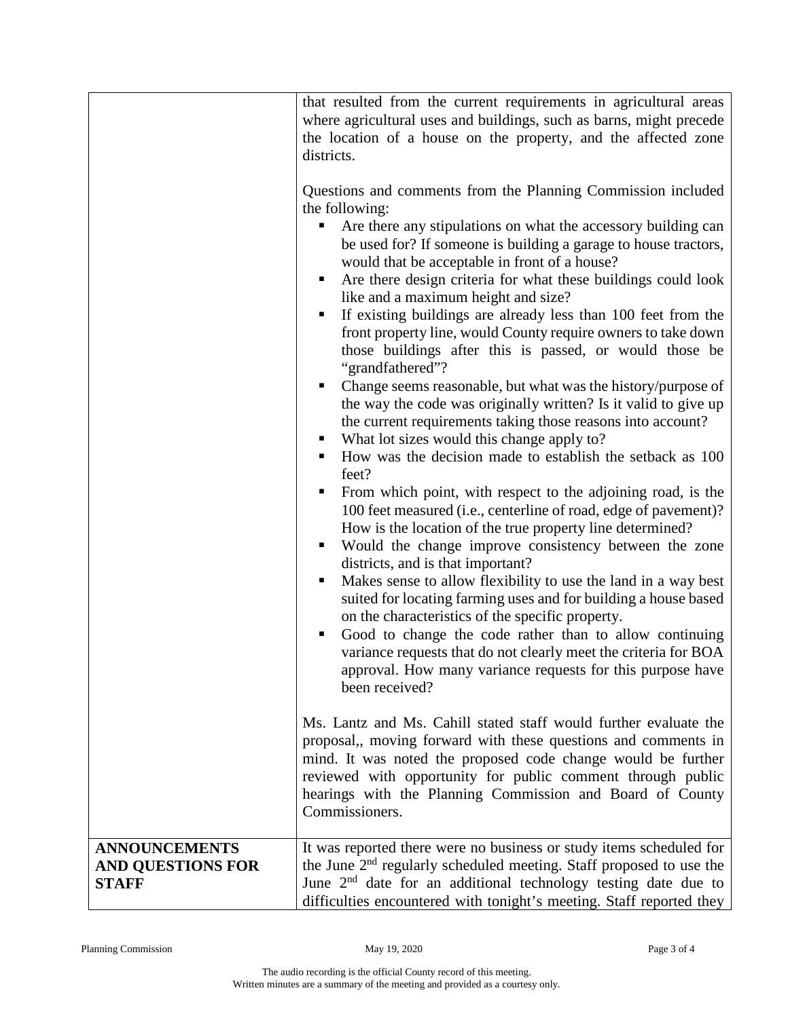|                                                                  | that resulted from the current requirements in agricultural areas<br>where agricultural uses and buildings, such as barns, might precede<br>the location of a house on the property, and the affected zone<br>districts.<br>Questions and comments from the Planning Commission included<br>the following:<br>Are there any stipulations on what the accessory building can<br>٠<br>be used for? If someone is building a garage to house tractors,<br>would that be acceptable in front of a house?<br>Are there design criteria for what these buildings could look<br>like and a maximum height and size?<br>If existing buildings are already less than 100 feet from the<br>front property line, would County require owners to take down<br>those buildings after this is passed, or would those be<br>"grandfathered"?<br>Change seems reasonable, but what was the history/purpose of<br>п<br>the way the code was originally written? Is it valid to give up<br>the current requirements taking those reasons into account?<br>What lot sizes would this change apply to?<br>ш<br>How was the decision made to establish the setback as 100<br>feet?<br>From which point, with respect to the adjoining road, is the<br>100 feet measured (i.e., centerline of road, edge of pavement)?<br>How is the location of the true property line determined?<br>Would the change improve consistency between the zone<br>٠<br>districts, and is that important?<br>Makes sense to allow flexibility to use the land in a way best<br>п<br>suited for locating farming uses and for building a house based<br>on the characteristics of the specific property.<br>Good to change the code rather than to allow continuing<br>п<br>variance requests that do not clearly meet the criteria for BOA<br>approval. How many variance requests for this purpose have<br>been received?<br>Ms. Lantz and Ms. Cahill stated staff would further evaluate the<br>proposal,, moving forward with these questions and comments in<br>mind. It was noted the proposed code change would be further<br>reviewed with opportunity for public comment through public<br>hearings with the Planning Commission and Board of County<br>Commissioners. |
|------------------------------------------------------------------|---------------------------------------------------------------------------------------------------------------------------------------------------------------------------------------------------------------------------------------------------------------------------------------------------------------------------------------------------------------------------------------------------------------------------------------------------------------------------------------------------------------------------------------------------------------------------------------------------------------------------------------------------------------------------------------------------------------------------------------------------------------------------------------------------------------------------------------------------------------------------------------------------------------------------------------------------------------------------------------------------------------------------------------------------------------------------------------------------------------------------------------------------------------------------------------------------------------------------------------------------------------------------------------------------------------------------------------------------------------------------------------------------------------------------------------------------------------------------------------------------------------------------------------------------------------------------------------------------------------------------------------------------------------------------------------------------------------------------------------------------------------------------------------------------------------------------------------------------------------------------------------------------------------------------------------------------------------------------------------------------------------------------------------------------------------------------------------------------------------------------------------------------------------------------------------------------------------------------------------|
| <b>ANNOUNCEMENTS</b><br><b>AND QUESTIONS FOR</b><br><b>STAFF</b> | It was reported there were no business or study items scheduled for<br>the June 2 <sup>nd</sup> regularly scheduled meeting. Staff proposed to use the<br>June $2nd$ date for an additional technology testing date due to<br>difficulties encountered with tonight's meeting. Staff reported they                                                                                                                                                                                                                                                                                                                                                                                                                                                                                                                                                                                                                                                                                                                                                                                                                                                                                                                                                                                                                                                                                                                                                                                                                                                                                                                                                                                                                                                                                                                                                                                                                                                                                                                                                                                                                                                                                                                                    |